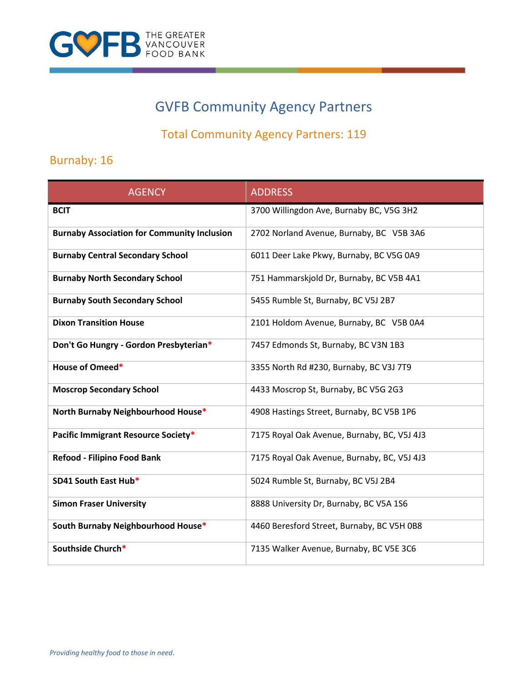

# GVFB Community Agency Partners

## Total Community Agency Partners: 119

## Burnaby: 16

| <b>AGENCY</b>                                      | <b>ADDRESS</b>                              |
|----------------------------------------------------|---------------------------------------------|
| <b>BCIT</b>                                        | 3700 Willingdon Ave, Burnaby BC, V5G 3H2    |
| <b>Burnaby Association for Community Inclusion</b> | 2702 Norland Avenue, Burnaby, BC V5B 3A6    |
| <b>Burnaby Central Secondary School</b>            | 6011 Deer Lake Pkwy, Burnaby, BC V5G 0A9    |
| <b>Burnaby North Secondary School</b>              | 751 Hammarskjold Dr, Burnaby, BC V5B 4A1    |
| <b>Burnaby South Secondary School</b>              | 5455 Rumble St, Burnaby, BC V5J 2B7         |
| <b>Dixon Transition House</b>                      | 2101 Holdom Avenue, Burnaby, BC V5B 0A4     |
| Don't Go Hungry - Gordon Presbyterian*             | 7457 Edmonds St, Burnaby, BC V3N 1B3        |
| House of Omeed*                                    | 3355 North Rd #230, Burnaby, BC V3J 7T9     |
| <b>Moscrop Secondary School</b>                    | 4433 Moscrop St, Burnaby, BC V5G 2G3        |
| North Burnaby Neighbourhood House*                 | 4908 Hastings Street, Burnaby, BC V5B 1P6   |
| Pacific Immigrant Resource Society*                | 7175 Royal Oak Avenue, Burnaby, BC, V5J 4J3 |
| Refood - Filipino Food Bank                        | 7175 Royal Oak Avenue, Burnaby, BC, V5J 4J3 |
| SD41 South East Hub*                               | 5024 Rumble St, Burnaby, BC V5J 2B4         |
| <b>Simon Fraser University</b>                     | 8888 University Dr, Burnaby, BC V5A 1S6     |
| South Burnaby Neighbourhood House*                 | 4460 Beresford Street, Burnaby, BC V5H 0B8  |
| Southside Church*                                  | 7135 Walker Avenue, Burnaby, BC V5E 3C6     |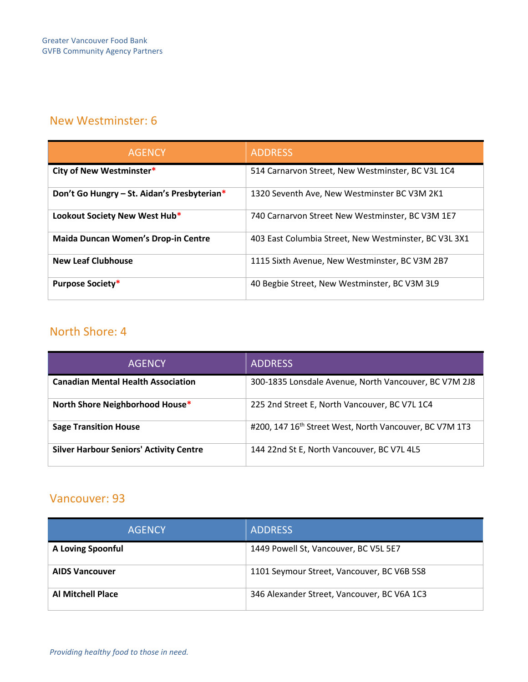#### New Westminster: 6

| <b>AGENCY</b>                               | <b>ADDRESS</b>                                        |
|---------------------------------------------|-------------------------------------------------------|
| City of New Westminster*                    | 514 Carnarvon Street, New Westminster, BC V3L 1C4     |
| Don't Go Hungry - St. Aidan's Presbyterian* | 1320 Seventh Ave, New Westminster BC V3M 2K1          |
| Lookout Society New West Hub*               | 740 Carnarvon Street New Westminster, BC V3M 1E7      |
| <b>Maida Duncan Women's Drop-in Centre</b>  | 403 East Columbia Street, New Westminster, BC V3L 3X1 |
| <b>New Leaf Clubhouse</b>                   | 1115 Sixth Avenue, New Westminster, BC V3M 2B7        |
| <b>Purpose Society*</b>                     | 40 Begbie Street, New Westminster, BC V3M 3L9         |

### North Shore: 4

| AGENCY                                         | <b>ADDRESS</b>                                                      |
|------------------------------------------------|---------------------------------------------------------------------|
| <b>Canadian Mental Health Association</b>      | 300-1835 Lonsdale Avenue, North Vancouver, BC V7M 2J8               |
| North Shore Neighborhood House*                | 225 2nd Street E, North Vancouver, BC V7L 1C4                       |
| <b>Sage Transition House</b>                   | #200, 147 16 <sup>th</sup> Street West, North Vancouver, BC V7M 1T3 |
| <b>Silver Harbour Seniors' Activity Centre</b> | 144 22nd St E, North Vancouver, BC V7L 4L5                          |

#### Vancouver: 93

| <b>AGENCY</b>            | <b>ADDRESS</b>                              |
|--------------------------|---------------------------------------------|
| <b>A Loving Spoonful</b> | 1449 Powell St, Vancouver, BC V5L 5E7       |
| <b>AIDS Vancouver</b>    | 1101 Seymour Street, Vancouver, BC V6B 5S8  |
| <b>Al Mitchell Place</b> | 346 Alexander Street, Vancouver, BC V6A 1C3 |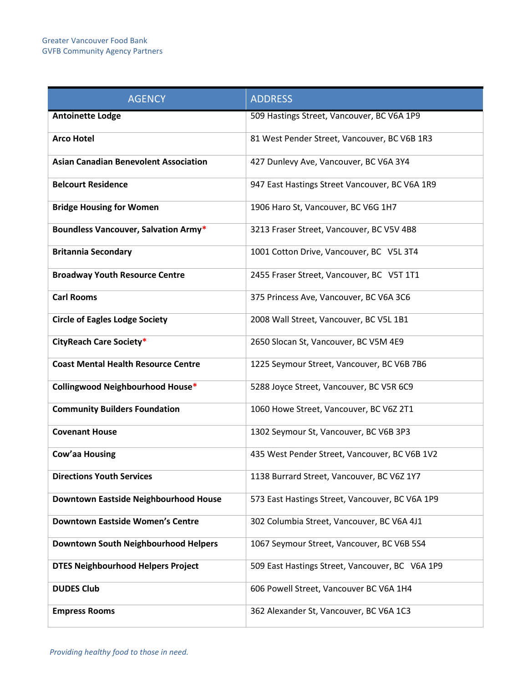| <b>AGENCY</b>                                | <b>ADDRESS</b>                                  |
|----------------------------------------------|-------------------------------------------------|
| <b>Antoinette Lodge</b>                      | 509 Hastings Street, Vancouver, BC V6A 1P9      |
| <b>Arco Hotel</b>                            | 81 West Pender Street, Vancouver, BC V6B 1R3    |
| <b>Asian Canadian Benevolent Association</b> | 427 Dunlevy Ave, Vancouver, BC V6A 3Y4          |
| <b>Belcourt Residence</b>                    | 947 East Hastings Street Vancouver, BC V6A 1R9  |
| <b>Bridge Housing for Women</b>              | 1906 Haro St, Vancouver, BC V6G 1H7             |
| <b>Boundless Vancouver, Salvation Army*</b>  | 3213 Fraser Street, Vancouver, BC V5V 4B8       |
| <b>Britannia Secondary</b>                   | 1001 Cotton Drive, Vancouver, BC V5L 3T4        |
| <b>Broadway Youth Resource Centre</b>        | 2455 Fraser Street, Vancouver, BC V5T 1T1       |
| <b>Carl Rooms</b>                            | 375 Princess Ave, Vancouver, BC V6A 3C6         |
| <b>Circle of Eagles Lodge Society</b>        | 2008 Wall Street, Vancouver, BC V5L 1B1         |
| CityReach Care Society*                      | 2650 Slocan St, Vancouver, BC V5M 4E9           |
| <b>Coast Mental Health Resource Centre</b>   | 1225 Seymour Street, Vancouver, BC V6B 7B6      |
| Collingwood Neighbourhood House*             | 5288 Joyce Street, Vancouver, BC V5R 6C9        |
| <b>Community Builders Foundation</b>         | 1060 Howe Street, Vancouver, BC V6Z 2T1         |
| <b>Covenant House</b>                        | 1302 Seymour St, Vancouver, BC V6B 3P3          |
| Cow'aa Housing                               | 435 West Pender Street, Vancouver, BC V6B 1V2   |
| <b>Directions Youth Services</b>             | 1138 Burrard Street, Vancouver, BC V6Z 1Y7      |
| Downtown Eastside Neighbourhood House        | 573 East Hastings Street, Vancouver, BC V6A 1P9 |
| <b>Downtown Eastside Women's Centre</b>      | 302 Columbia Street, Vancouver, BC V6A 4J1      |
| Downtown South Neighbourhood Helpers         | 1067 Seymour Street, Vancouver, BC V6B 5S4      |
| <b>DTES Neighbourhood Helpers Project</b>    | 509 East Hastings Street, Vancouver, BC V6A 1P9 |
| <b>DUDES Club</b>                            | 606 Powell Street, Vancouver BC V6A 1H4         |
| <b>Empress Rooms</b>                         | 362 Alexander St, Vancouver, BC V6A 1C3         |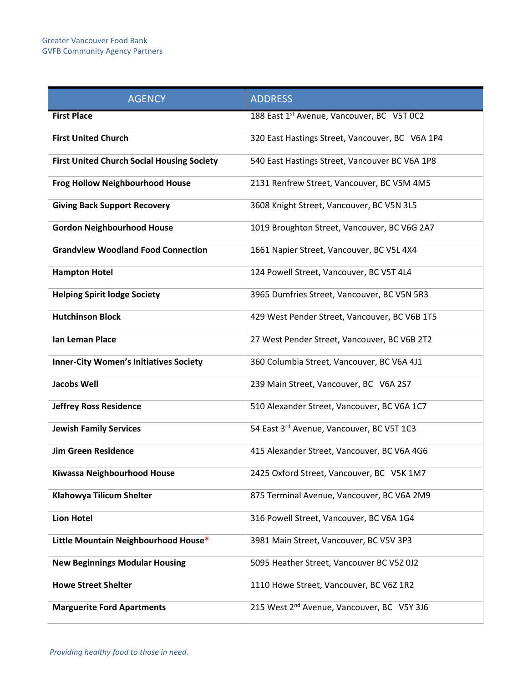| <b>AGENCY</b>                                     | <b>ADDRESS</b>                                         |
|---------------------------------------------------|--------------------------------------------------------|
| <b>First Place</b>                                | 188 East 1st Avenue, Vancouver, BC V5T 0C2             |
| <b>First United Church</b>                        | 320 East Hastings Street, Vancouver, BC V6A 1P4        |
| <b>First United Church Social Housing Society</b> | 540 East Hastings Street, Vancouver BC V6A 1P8         |
| <b>Frog Hollow Neighbourhood House</b>            | 2131 Renfrew Street, Vancouver, BC V5M 4M5             |
| <b>Giving Back Support Recovery</b>               | 3608 Knight Street, Vancouver, BC V5N 3L5              |
| <b>Gordon Neighbourhood House</b>                 | 1019 Broughton Street, Vancouver, BC V6G 2A7           |
| <b>Grandview Woodland Food Connection</b>         | 1661 Napier Street, Vancouver, BC V5L 4X4              |
| <b>Hampton Hotel</b>                              | 124 Powell Street, Vancouver, BC V5T 4L4               |
| <b>Helping Spirit lodge Society</b>               | 3965 Dumfries Street, Vancouver, BC V5N 5R3            |
| <b>Hutchinson Block</b>                           | 429 West Pender Street, Vancouver, BC V6B 1T5          |
| Ian Leman Place                                   | 27 West Pender Street, Vancouver, BC V6B 2T2           |
| <b>Inner-City Women's Initiatives Society</b>     | 360 Columbia Street, Vancouver, BC V6A 4J1             |
| <b>Jacobs Well</b>                                | 239 Main Street, Vancouver, BC V6A 2S7                 |
| <b>Jeffrey Ross Residence</b>                     | 510 Alexander Street, Vancouver, BC V6A 1C7            |
| <b>Jewish Family Services</b>                     | 54 East 3rd Avenue, Vancouver, BC V5T 1C3              |
| <b>Jim Green Residence</b>                        | 415 Alexander Street, Vancouver, BC V6A 4G6            |
| Kiwassa Neighbourhood House                       | 2425 Oxford Street, Vancouver, BC V5K 1M7              |
| Klahowya Tilicum Shelter                          | 875 Terminal Avenue, Vancouver, BC V6A 2M9             |
| <b>Lion Hotel</b>                                 | 316 Powell Street, Vancouver, BC V6A 1G4               |
| Little Mountain Neighbourhood House*              | 3981 Main Street, Vancouver, BC V5V 3P3                |
| <b>New Beginnings Modular Housing</b>             | 5095 Heather Street, Vancouver BC V5Z 0J2              |
| <b>Howe Street Shelter</b>                        | 1110 Howe Street, Vancouver, BC V6Z 1R2                |
| <b>Marguerite Ford Apartments</b>                 | 215 West 2 <sup>nd</sup> Avenue, Vancouver, BC V5Y 3J6 |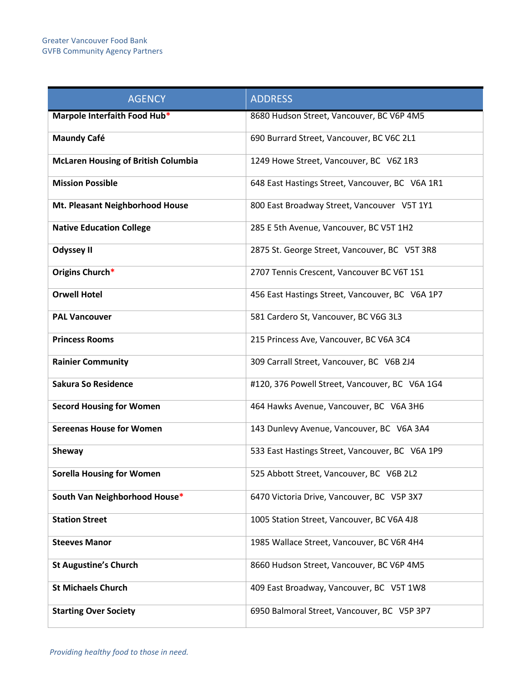| <b>AGENCY</b>                              | <b>ADDRESS</b>                                  |
|--------------------------------------------|-------------------------------------------------|
| Marpole Interfaith Food Hub*               | 8680 Hudson Street, Vancouver, BC V6P 4M5       |
| <b>Maundy Café</b>                         | 690 Burrard Street, Vancouver, BC V6C 2L1       |
| <b>McLaren Housing of British Columbia</b> | 1249 Howe Street, Vancouver, BC V6Z 1R3         |
| <b>Mission Possible</b>                    | 648 East Hastings Street, Vancouver, BC V6A 1R1 |
| Mt. Pleasant Neighborhood House            | 800 East Broadway Street, Vancouver V5T 1Y1     |
| <b>Native Education College</b>            | 285 E 5th Avenue, Vancouver, BC V5T 1H2         |
| <b>Odyssey II</b>                          | 2875 St. George Street, Vancouver, BC V5T 3R8   |
| Origins Church*                            | 2707 Tennis Crescent, Vancouver BC V6T 1S1      |
| <b>Orwell Hotel</b>                        | 456 East Hastings Street, Vancouver, BC V6A 1P7 |
| <b>PAL Vancouver</b>                       | 581 Cardero St, Vancouver, BC V6G 3L3           |
| <b>Princess Rooms</b>                      | 215 Princess Ave, Vancouver, BC V6A 3C4         |
| <b>Rainier Community</b>                   | 309 Carrall Street, Vancouver, BC V6B 2J4       |
| <b>Sakura So Residence</b>                 | #120, 376 Powell Street, Vancouver, BC V6A 1G4  |
| <b>Secord Housing for Women</b>            | 464 Hawks Avenue, Vancouver, BC V6A 3H6         |
| <b>Sereenas House for Women</b>            | 143 Dunlevy Avenue, Vancouver, BC V6A 3A4       |
| <b>Sheway</b>                              | 533 East Hastings Street, Vancouver, BC V6A 1P9 |
| <b>Sorella Housing for Women</b>           | 525 Abbott Street, Vancouver, BC V6B 2L2        |
| South Van Neighborhood House*              | 6470 Victoria Drive, Vancouver, BC V5P 3X7      |
| <b>Station Street</b>                      | 1005 Station Street, Vancouver, BC V6A 4J8      |
| <b>Steeves Manor</b>                       | 1985 Wallace Street, Vancouver, BC V6R 4H4      |
| <b>St Augustine's Church</b>               | 8660 Hudson Street, Vancouver, BC V6P 4M5       |
| <b>St Michaels Church</b>                  | 409 East Broadway, Vancouver, BC V5T 1W8        |
| <b>Starting Over Society</b>               | 6950 Balmoral Street, Vancouver, BC V5P 3P7     |